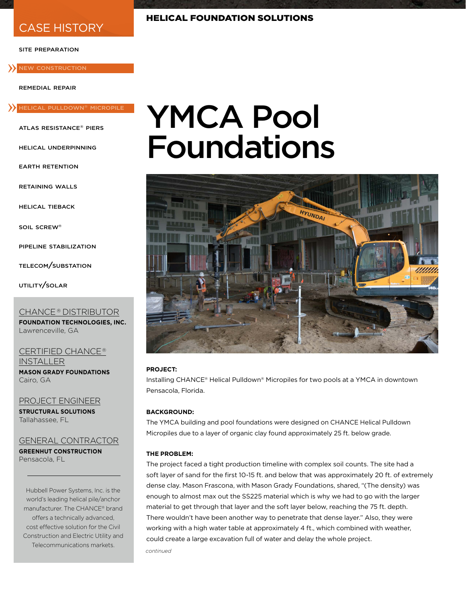## CASE HISTORY

#### site preparation

#### **>>** NEW CONSTRUCTION

remedial repair

# » helical pulldown® micropile

atlas resistance® piers

helical underpinning

earth retention

retaining walls

helical tieback

soil screw®

pipeline stabilization

telecom/substation

utility/solar

#### CHANCE<sup>®</sup> DISTRIBUTOR

**FOUNDATION TECHNOLOGIES, INC.** Lawrenceville, GA

CERTIFIED CHANCE<sup>®</sup> **INSTALLER MASON GRADY FOUNDATIONS**

Cairo, GA

PROJECT ENGINEER **STRUCTURAL SOLUTIONS** Tallahassee, FL

#### GENERAL CONTRACTOR **GREENHUT CONSTRUCTION**

Pensacola, FL

Hubbell Power Systems, Inc. is the world's leading helical pile/anchor manufacturer. The CHANCE® brand offers a technically advanced, cost effective solution for the Civil Construction and Electric Utility and Telecommunications markets.

# YMCA Pool Foundations



#### **PROJECT:**

Installing CHANCE® Helical Pulldown® Micropiles for two pools at a YMCA in downtown Pensacola, Florida.

#### **BACKGROUND:**

The YMCA building and pool foundations were designed on CHANCE Helical Pulldown Micropiles due to a layer of organic clay found approximately 25 ft. below grade.

#### **THE PROBLEM:**

*continued* The project faced a tight production timeline with complex soil counts. The site had a soft layer of sand for the first 10-15 ft. and below that was approximately 20 ft. of extremely dense clay. Mason Frascona, with Mason Grady Foundations, shared, "(The density) was enough to almost max out the SS225 material which is why we had to go with the larger material to get through that layer and the soft layer below, reaching the 75 ft. depth. There wouldn't have been another way to penetrate that dense layer." Also, they were working with a high water table at approximately 4 ft., which combined with weather, could create a large excavation full of water and delay the whole project.